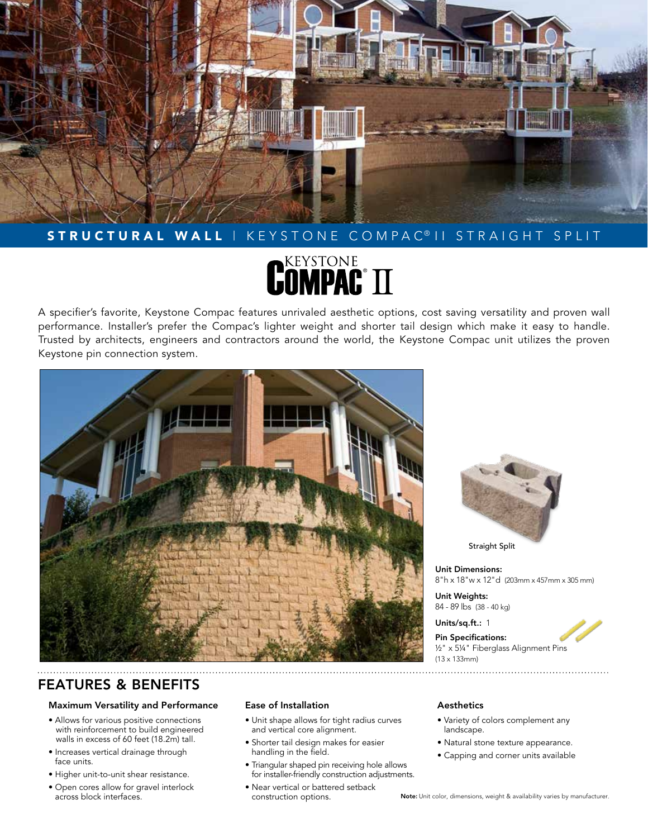

# STRUCTURAL WALL | KEYSTONE COMPAC<sup>@</sup> II STRAIGHT SPLIT

# **DEEYSTONE**<br>**COMPAC®** TT

A specifier's favorite, Keystone Compac features unrivaled aesthetic options, cost saving versatility and proven wall performance. Installer's prefer the Compac's lighter weight and shorter tail design which make it easy to handle. Trusted by architects, engineers and contractors around the world, the Keystone Compac unit utilizes the proven Keystone pin connection system.





Straight Split

Unit Dimensions: 8"h x 18"w x 12"d (203mm x 457mm x 305 mm)

Unit Weights: 84 - 89 lbs (38 - 40 kg)

Units/sq.ft.: 1

Pin Specifications: ½" x 5¼" Fiberglass Alignment Pins (13 x 133mm)

# FEATURES & BENEFITS

# Maximum Versatility and Performance

- Allows for various positive connections with reinforcement to build engineered walls in excess of 60 feet (18.2m) tall.
- Increases vertical drainage through face units.
- Higher unit-to-unit shear resistance.
- Open cores allow for gravel interlock across block interfaces.

# Ease of Installation

- Unit shape allows for tight radius curves and vertical core alignment.
- Shorter tail design makes for easier handling in the field.
- Triangular shaped pin receiving hole allows for installer-friendly construction adjustments.
- Near vertical or battered setback construction options.

### Aesthetics

- Variety of colors complement any landscape.
- Natural stone texture appearance.
- Capping and corner units available